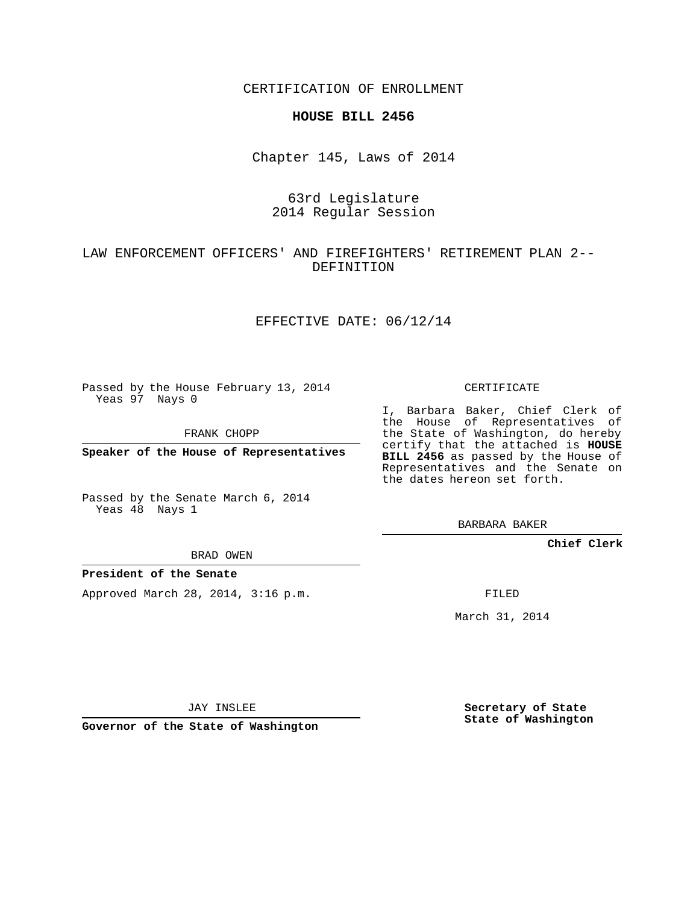CERTIFICATION OF ENROLLMENT

#### **HOUSE BILL 2456**

Chapter 145, Laws of 2014

# 63rd Legislature 2014 Regular Session

# LAW ENFORCEMENT OFFICERS' AND FIREFIGHTERS' RETIREMENT PLAN 2-- DEFINITION

## EFFECTIVE DATE: 06/12/14

Passed by the House February 13, 2014 Yeas 97 Nays 0

FRANK CHOPP

**Speaker of the House of Representatives**

Passed by the Senate March 6, 2014 Yeas 48 Nays 1

BRAD OWEN

### **President of the Senate**

Approved March 28, 2014, 3:16 p.m.

CERTIFICATE

I, Barbara Baker, Chief Clerk of the House of Representatives of the State of Washington, do hereby certify that the attached is **HOUSE BILL 2456** as passed by the House of Representatives and the Senate on the dates hereon set forth.

BARBARA BAKER

**Chief Clerk**

FILED

March 31, 2014

JAY INSLEE

**Governor of the State of Washington**

**Secretary of State State of Washington**